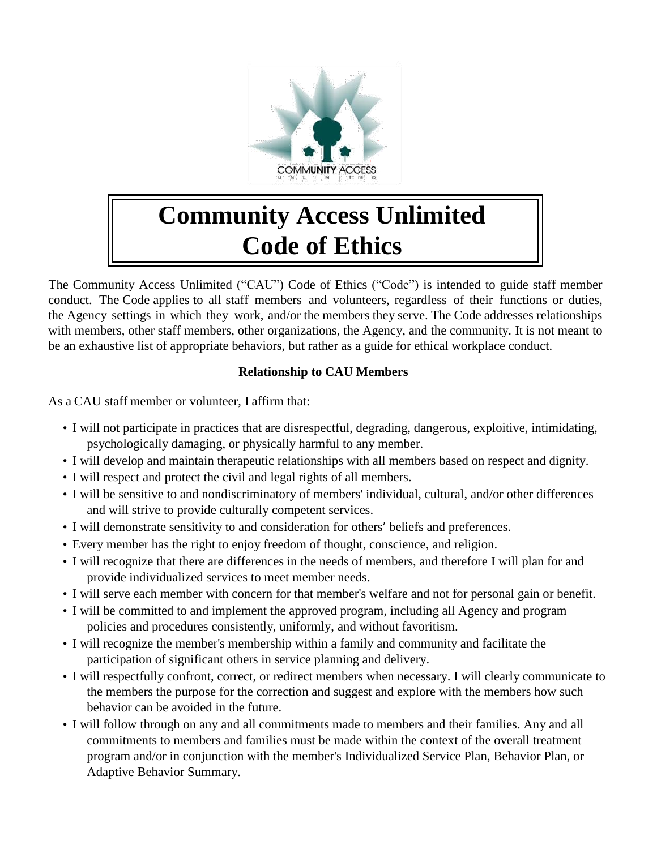

# **Community Access Unlimited Code of Ethics**

The Community Access Unlimited ("CAU") Code of Ethics ("Code") is intended to guide staff member conduct. The Code applies to all staff members and volunteers, regardless of their functions or duties, the Agency settings in which they work, and/or the members they serve. The Code addresses relationships with members, other staff members, other organizations, the Agency, and the community. It is not meant to be an exhaustive list of appropriate behaviors, but rather as a guide for ethical workplace conduct.

### **Relationship to CAU Members**

As a CAU staff member or volunteer, I affirm that:

- I will not participate in practices that are disrespectful, degrading, dangerous, exploitive, intimidating, psychologically damaging, or physically harmful to any member.
- I will develop and maintain therapeutic relationships with all members based on respect and dignity.
- I will respect and protect the civil and legal rights of all members.
- I will be sensitive to and nondiscriminatory of members' individual, cultural, and/or other differences and will strive to provide culturally competent services.
- I will demonstrate sensitivity to and consideration for others' beliefs and preferences.
- Every member has the right to enjoy freedom of thought, conscience, and religion.
- I will recognize that there are differences in the needs of members, and therefore I will plan for and provide individualized services to meet member needs.
- I will serve each member with concern for that member's welfare and not for personal gain or benefit.
- I will be committed to and implement the approved program, including all Agency and program policies and procedures consistently, uniformly, and without favoritism.
- I will recognize the member's membership within a family and community and facilitate the participation of significant others in service planning and delivery.
- I will respectfully confront, correct, or redirect members when necessary. I will clearly communicate to the members the purpose for the correction and suggest and explore with the members how such behavior can be avoided in the future.
- I will follow through on any and all commitments made to members and their families. Any and all commitments to members and families must be made within the context of the overall treatment program and/or in conjunction with the member's Individualized Service Plan, Behavior Plan, or Adaptive Behavior Summary.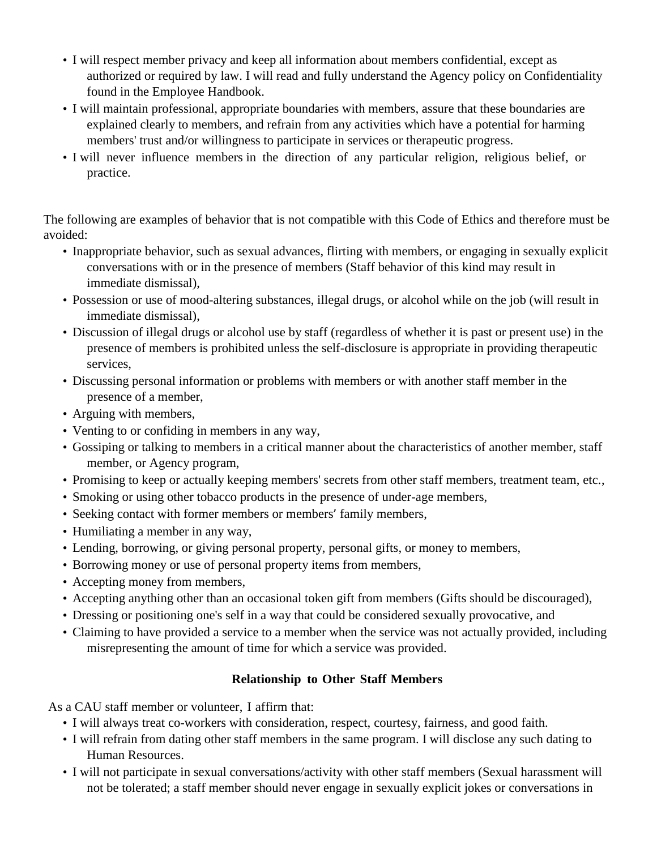- I will respect member privacy and keep all information about members confidential, except as authorized or required by law. I will read and fully understand the Agency policy on Confidentiality found in the Employee Handbook.
- I will maintain professional, appropriate boundaries with members, assure that these boundaries are explained clearly to members, and refrain from any activities which have a potential for harming members' trust and/or willingness to participate in services or therapeutic progress.
- I will never influence members in the direction of any particular religion, religious belief, or practice.

The following are examples of behavior that is not compatible with this Code of Ethics and therefore must be avoided:

- Inappropriate behavior, such as sexual advances, flirting with members, or engaging in sexually explicit conversations with or in the presence of members (Staff behavior of this kind may result in immediate dismissal),
- Possession or use of mood-altering substances, illegal drugs, or alcohol while on the job (will result in immediate dismissal),
- Discussion of illegal drugs or alcohol use by staff (regardless of whether it is past or present use) in the presence of members is prohibited unless the self-disclosure is appropriate in providing therapeutic services,
- Discussing personal information or problems with members or with another staff member in the presence of a member,
- Arguing with members,
- Venting to or confiding in members in any way,
- Gossiping or talking to members in a critical manner about the characteristics of another member, staff member, or Agency program,
- Promising to keep or actually keeping members' secrets from other staff members, treatment team, etc.,
- Smoking or using other tobacco products in the presence of under-age members,
- Seeking contact with former members or members' family members,
- Humiliating a member in any way,
- Lending, borrowing, or giving personal property, personal gifts, or money to members,
- Borrowing money or use of personal property items from members,
- Accepting money from members,
- Accepting anything other than an occasional token gift from members (Gifts should be discouraged),
- Dressing or positioning one's self in a way that could be considered sexually provocative, and
- Claiming to have provided a service to a member when the service was not actually provided, including misrepresenting the amount of time for which a service was provided.

## **Relationship to Other Staff Members**

As a CAU staff member or volunteer, I affirm that:

- I will always treat co-workers with consideration, respect, courtesy, fairness, and good faith.
- I will refrain from dating other staff members in the same program. I will disclose any such dating to Human Resources.
- I will not participate in sexual conversations/activity with other staff members (Sexual harassment will not be tolerated; a staff member should never engage in sexually explicit jokes or conversations in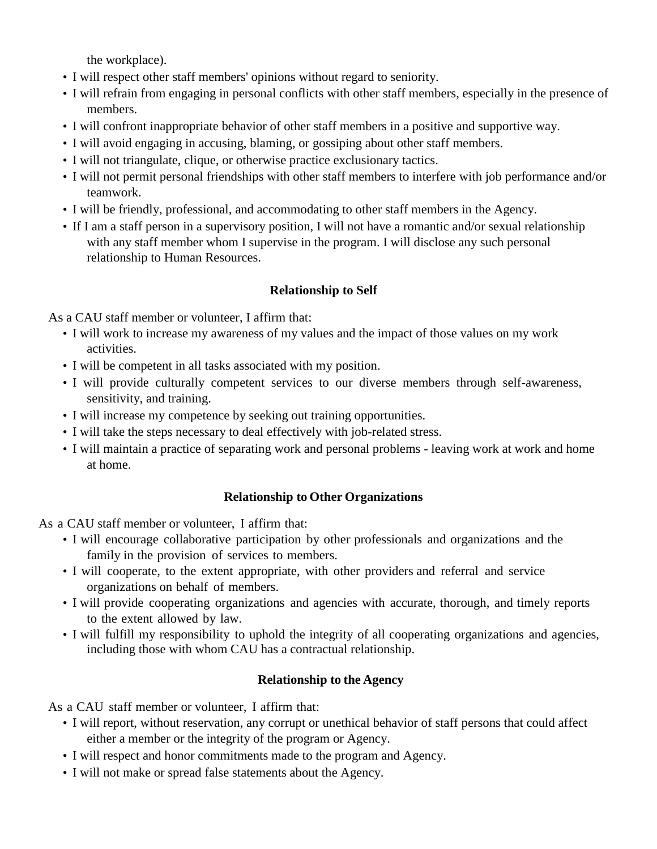the workplace).

- I will respect other staff members' opinions without regard to seniority.
- I will refrain from engaging in personal conflicts with other staff members, especially in the presence of members.
- I will confront inappropriate behavior of other staff members in a positive and supportive way.
- I will avoid engaging in accusing, blaming, or gossiping about other staff members.
- I will not triangulate, clique, or otherwise practice exclusionary tactics.
- I will not permit personal friendships with other staff members to interfere with job performance and/or teamwork.
- I will be friendly, professional, and accommodating to other staff members in the Agency.
- If I am a staff person in a supervisory position, I will not have a romantic and/or sexual relationship with any staff member whom I supervise in the program. I will disclose any such personal relationship to Human Resources.

#### **Relationship to Self**

As a CAU staff member or volunteer, I affirm that:

- I will work to increase my awareness of my values and the impact of those values on my work activities.
- I will be competent in all tasks associated with my position.
- I will provide culturally competent services to our diverse members through self-awareness, sensitivity, and training.
- I will increase my competence by seeking out training opportunities.
- I will take the steps necessary to deal effectively with job-related stress.
- I will maintain a practice of separating work and personal problems leaving work at work and home at home.

#### **Relationship to Other Organizations**

As a CAU staff member or volunteer, I affirm that:

- I will encourage collaborative participation by other professionals and organizations and the family in the provision of services to members.
- I will cooperate, to the extent appropriate, with other providers and referral and service organizations on behalf of members.
- I will provide cooperating organizations and agencies with accurate, thorough, and timely reports to the extent allowed by law.
- I will fulfill my responsibility to uphold the integrity of all cooperating organizations and agencies, including those with whom CAU has a contractual relationship.

#### **Relationship to the Agency**

As a CAU staff member or volunteer, I affirm that:

- I will report, without reservation, any corrupt or unethical behavior of staff persons that could affect either a member or the integrity of the program or Agency.
- I will respect and honor commitments made to the program and Agency.
- I will not make or spread false statements about the Agency.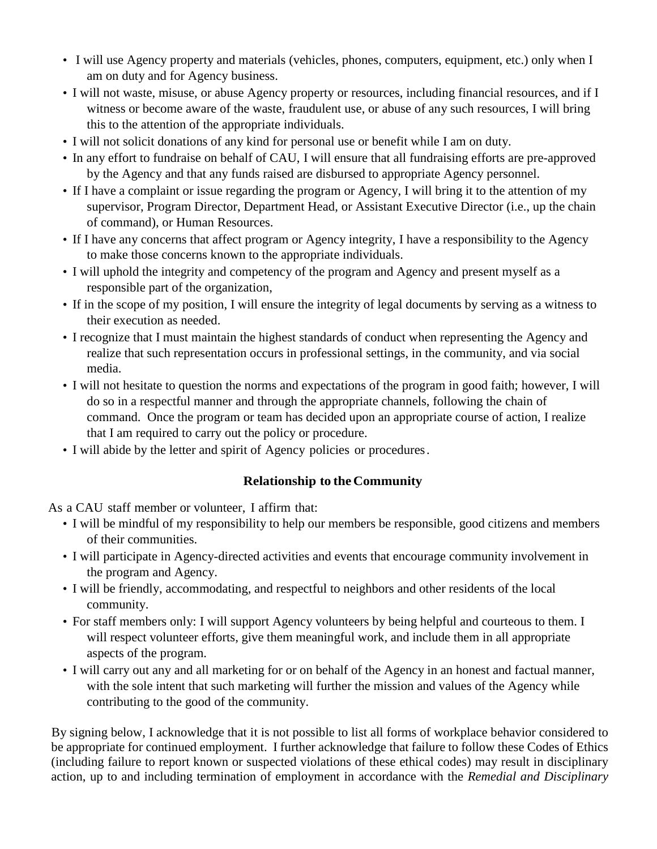- I will use Agency property and materials (vehicles, phones, computers, equipment, etc.) only when I am on duty and for Agency business.
- I will not waste, misuse, or abuse Agency property or resources, including financial resources, and if I witness or become aware of the waste, fraudulent use, or abuse of any such resources, I will bring this to the attention of the appropriate individuals.
- I will not solicit donations of any kind for personal use or benefit while I am on duty.
- In any effort to fundraise on behalf of CAU, I will ensure that all fundraising efforts are pre-approved by the Agency and that any funds raised are disbursed to appropriate Agency personnel.
- If I have a complaint or issue regarding the program or Agency, I will bring it to the attention of my supervisor, Program Director, Department Head, or Assistant Executive Director (i.e., up the chain of command), or Human Resources.
- If I have any concerns that affect program or Agency integrity, I have a responsibility to the Agency to make those concerns known to the appropriate individuals.
- I will uphold the integrity and competency of the program and Agency and present myself as a responsible part of the organization,
- If in the scope of my position, I will ensure the integrity of legal documents by serving as a witness to their execution as needed.
- I recognize that I must maintain the highest standards of conduct when representing the Agency and realize that such representation occurs in professional settings, in the community, and via social media.
- I will not hesitate to question the norms and expectations of the program in good faith; however, I will do so in a respectful manner and through the appropriate channels, following the chain of command. Once the program or team has decided upon an appropriate course of action, I realize that I am required to carry out the policy or procedure.
- I will abide by the letter and spirit of Agency policies or procedures.

#### **Relationship to theCommunity**

As a CAU staff member or volunteer, I affirm that:

- I will be mindful of my responsibility to help our members be responsible, good citizens and members of their communities.
- I will participate in Agency-directed activities and events that encourage community involvement in the program and Agency.
- I will be friendly, accommodating, and respectful to neighbors and other residents of the local community.
- For staff members only: I will support Agency volunteers by being helpful and courteous to them. I will respect volunteer efforts, give them meaningful work, and include them in all appropriate aspects of the program.
- I will carry out any and all marketing for or on behalf of the Agency in an honest and factual manner, with the sole intent that such marketing will further the mission and values of the Agency while contributing to the good of the community.

By signing below, I acknowledge that it is not possible to list all forms of workplace behavior considered to be appropriate for continued employment. I further acknowledge that failure to follow these Codes of Ethics (including failure to report known or suspected violations of these ethical codes) may result in disciplinary action, up to and including termination of employment in accordance with the *Remedial and Disciplinary*